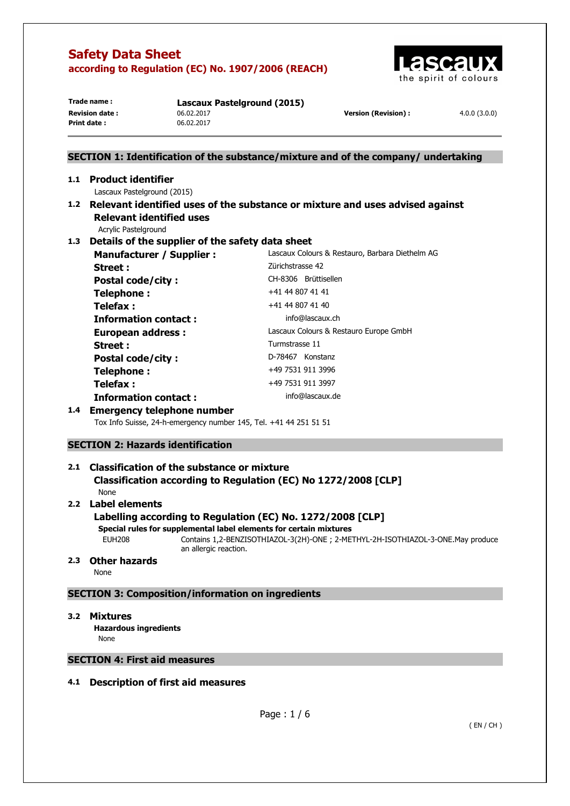

**Print date :** 06.02.2017

**Trade name : Lascaux Pastelground (2015) Revision date :** 06.02.2017 **Version (Revision) :** 4.0.0 (3.0.0)

# **SECTION 1: Identification of the substance/mixture and of the company/ undertaking 1.1 Product identifier**  Lascaux Pastelground (2015) **1.2 Relevant identified uses of the substance or mixture and uses advised against Relevant identified uses**  Acrylic Pastelground **1.3 Details of the supplier of the safety data sheet Manufacturer / Supplier :** Lascaux Colours & Restauro, Barbara Diethelm AG **Street : Zürichstrasse 42** Postal code/city : CH-8306 Brüttisellen **Telephone :**  $+41 44 807 41 41$ **Telefax :**  $+41 44 807 41 40$ **Information contact : info@lascaux.ch European address :** Lascaux Colours & Restauro Europe GmbH Street : Turmstrasse 11 Postal code/city : D-78467 Konstanz **Telephone :**  $+49\,7531\,911\,3996$ **Telefax :** +49 7531 911 3997 **Information contact : info@lascaux.de 1.4 Emergency telephone number**

Tox Info Suisse, 24-h-emergency number 145, Tel. +41 44 251 51 51

# **SECTION 2: Hazards identification**

# **2.1 Classification of the substance or mixture Classification according to Regulation (EC) No 1272/2008 [CLP]**

None

# **2.2 Label elements**

# **Labelling according to Regulation (EC) No. 1272/2008 [CLP]**

**Special rules for supplemental label elements for certain mixtures** 

EUH208 Contains 1,2-BENZISOTHIAZOL-3(2H)-ONE ; 2-METHYL-2H-ISOTHIAZOL-3-ONE.May produce an allergic reaction.

# **2.3 Other hazards**

None

# **SECTION 3: Composition/information on ingredients**

# **3.2 Mixtures**

**Hazardous ingredients None** 

# **SECTION 4: First aid measures**

# **4.1 Description of first aid measures**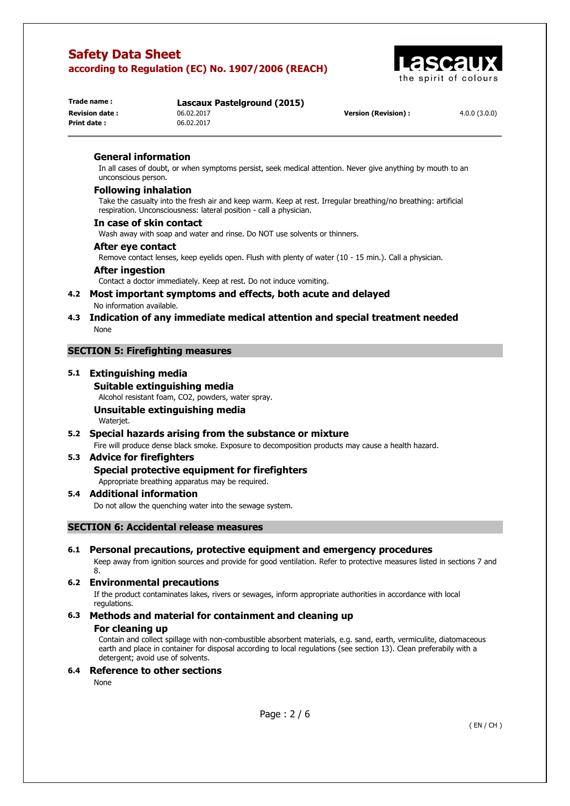**Print date :** 06.02.2017



| i rage name :         |  |
|-----------------------|--|
| <b>Revision date:</b> |  |
| Print date:           |  |

**Trade name : Lascaux Pastelground (2015)**

**Revision date :** 06.02.2017 **Version (Revision) :** 4.0.0 (3.0.0)

#### **General information**

In all cases of doubt, or when symptoms persist, seek medical attention. Never give anything by mouth to an unconscious person.

## **Following inhalation**

Take the casualty into the fresh air and keep warm. Keep at rest. Irregular breathing/no breathing: artificial respiration. Unconsciousness: lateral position - call a physician.

#### **In case of skin contact**

Wash away with soap and water and rinse. Do NOT use solvents or thinners.

#### **After eye contact**

Remove contact lenses, keep eyelids open. Flush with plenty of water (10 - 15 min.). Call a physician.

#### **After ingestion**

Contact a doctor immediately. Keep at rest. Do not induce vomiting.

#### **4.2 Most important symptoms and effects, both acute and delayed**  No information available.

## **4.3 Indication of any immediate medical attention and special treatment needed**  None

# **SECTION 5: Firefighting measures**

## **5.1 Extinguishing media**

**Suitable extinguishing media**  Alcohol resistant foam, CO2, powders, water spray. **Unsuitable extinguishing media**  Waterjet.

# **5.2 Special hazards arising from the substance or mixture**

# Fire will produce dense black smoke. Exposure to decomposition products may cause a health hazard.

# **5.3 Advice for firefighters**

# **Special protective equipment for firefighters**

Appropriate breathing apparatus may be required.

# **5.4 Additional information**

Do not allow the quenching water into the sewage system.

# **SECTION 6: Accidental release measures**

# **6.1 Personal precautions, protective equipment and emergency procedures**

Keep away from ignition sources and provide for good ventilation. Refer to protective measures listed in sections 7 and 8.

# **6.2 Environmental precautions**

If the product contaminates lakes, rivers or sewages, inform appropriate authorities in accordance with local regulations.

# **6.3 Methods and material for containment and cleaning up**

#### **For cleaning up**

Contain and collect spillage with non-combustible absorbent materials, e.g. sand, earth, vermiculite, diatomaceous earth and place in container for disposal according to local regulations (see section 13). Clean preferabily with a detergent; avoid use of solvents.

# **6.4 Reference to other sections**

None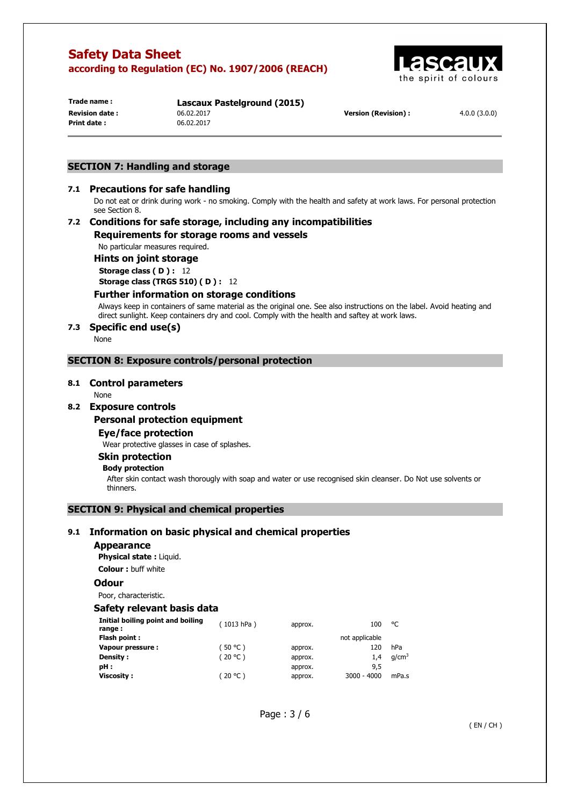

**Print date :** 06.02.2017

**Trade name : Lascaux Pastelground (2015) Revision date :** 06.02.2017 **Version (Revision) :** 4.0.0 (3.0.0)

#### **SECTION 7: Handling and storage**

## **7.1 Precautions for safe handling**

Do not eat or drink during work - no smoking. Comply with the health and safety at work laws. For personal protection see Section 8.

## **7.2 Conditions for safe storage, including any incompatibilities Requirements for storage rooms and vessels**

No particular measures required.

**Hints on joint storage** 

**Storage class ( D ) :** 12 **Storage class (TRGS 510) ( D ) :** 12

#### **Further information on storage conditions**

Always keep in containers of same material as the original one. See also instructions on the label. Avoid heating and direct sunlight. Keep containers dry and cool. Comply with the health and saftey at work laws.

#### **7.3 Specific end use(s)**

None

#### **SECTION 8: Exposure controls/personal protection**

#### **8.1 Control parameters**

None

#### **8.2 Exposure controls**

#### **Personal protection equipment**

**Eye/face protection** 

Wear protective glasses in case of splashes.

#### **Skin protection**

#### **Body protection**

After skin contact wash thorougly with soap and water or use recognised skin cleanser. Do Not use solvents or thinners.

# **SECTION 9: Physical and chemical properties**

#### **9.1 Information on basic physical and chemical properties**

#### **Appearance**

**Physical state :** Liquid.

**Colour :** buff white

#### **Odour**

Poor, characteristic.

#### **Safety relevant basis data**

| Initial boiling point and boiling<br>range: | (1013 hPa) | approx. | 100            | °C                |
|---------------------------------------------|------------|---------|----------------|-------------------|
| Flash point:                                |            |         | not applicable |                   |
| Vapour pressure :                           | (50 °C )   | approx. | 120            | hPa               |
| Density :                                   | (20 °C)    | approx. | 1.4            | q/cm <sup>3</sup> |
| pH:                                         |            | approx. | 9,5            |                   |
| <b>Viscosity:</b>                           | (20 °C )   | approx. | $3000 - 4000$  | mPa.s             |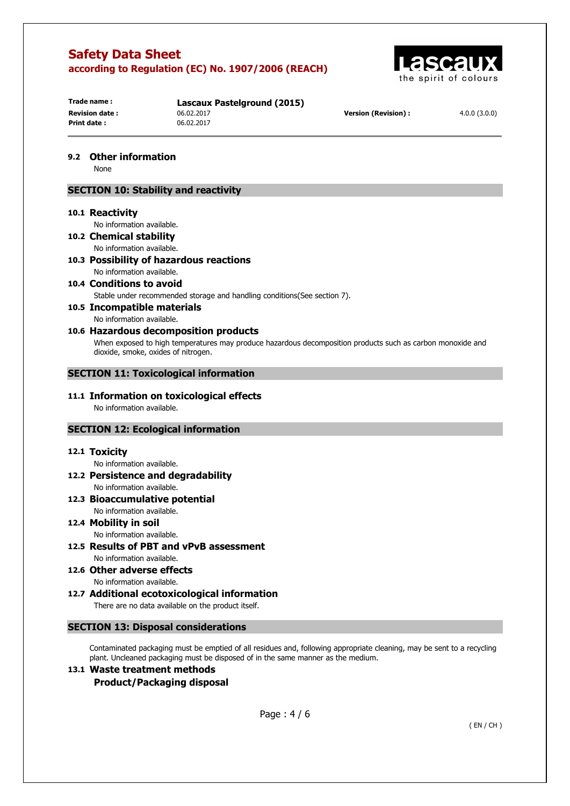

**Trade name : Lascaux Pastelground (2015) Print date :** 06.02.2017

**Revision date :** 06.02.2017 **Version (Revision) :** 4.0.0 (3.0.0)

## **9.2 Other information**

None

#### **SECTION 10: Stability and reactivity**

#### **10.1 Reactivity**

No information available.

- **10.2 Chemical stability**  No information available.
- **10.3 Possibility of hazardous reactions**  No information available.
- **10.4 Conditions to avoid**  Stable under recommended storage and handling conditions(See section 7).

# **10.5 Incompatible materials**

No information available.

# **10.6 Hazardous decomposition products**

When exposed to high temperatures may produce hazardous decomposition products such as carbon monoxide and dioxide, smoke, oxides of nitrogen.

#### **SECTION 11: Toxicological information**

#### **11.1 Information on toxicological effects**  No information available.

#### **SECTION 12: Ecological information**

#### **12.1 Toxicity**

No information available.

**12.2 Persistence and degradability**  No information available.

#### **12.3 Bioaccumulative potential**  No information available.

#### **12.4 Mobility in soil**  No information available.

**12.5 Results of PBT and vPvB assessment**  No information available.

**12.6 Other adverse effects** 

No information available. **12.7 Additional ecotoxicological information** 

There are no data available on the product itself.

#### **SECTION 13: Disposal considerations**

Contaminated packaging must be emptied of all residues and, following appropriate cleaning, may be sent to a recycling plant. Uncleaned packaging must be disposed of in the same manner as the medium.

# **13.1 Waste treatment methods Product/Packaging disposal**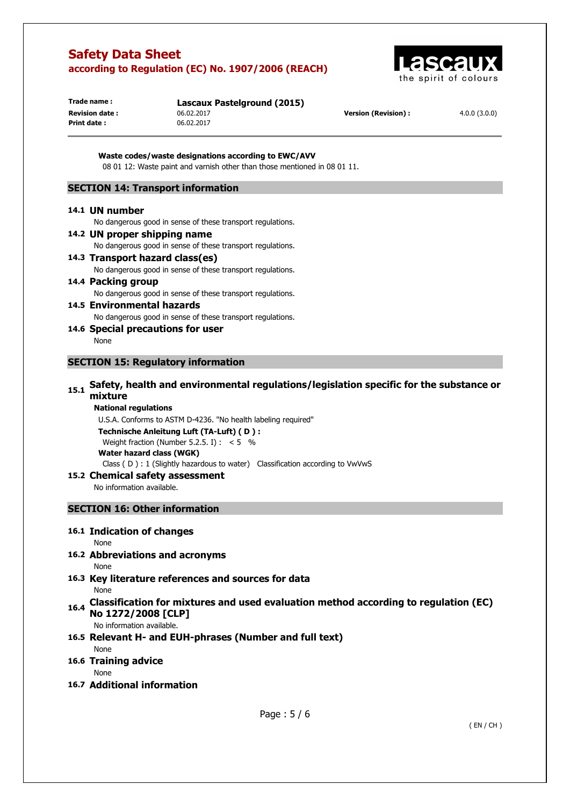

**Print date :** 06.02.2017

**Trade name : Lascaux Pastelground (2015) Revision date :** 06.02.2017 **Version (Revision) :** 4.0.0 (3.0.0)

**Waste codes/waste designations according to EWC/AVV**  08 01 12: Waste paint and varnish other than those mentioned in 08 01 11.

# **SECTION 14: Transport information**

#### **14.1 UN number**

No dangerous good in sense of these transport regulations.

- **14.2 UN proper shipping name**  No dangerous good in sense of these transport regulations. **14.3 Transport hazard class(es)**  No dangerous good in sense of these transport regulations.
- **14.4 Packing group**  No dangerous good in sense of these transport regulations.
- **14.5 Environmental hazards**  No dangerous good in sense of these transport regulations.
- **14.6 Special precautions for user**  None

#### **SECTION 15: Regulatory information**

# **15.1 Safety, health and environmental regulations/legislation specific for the substance or mixture**

#### **National regulations**

U.S.A. Conforms to ASTM D-4236. "No health labeling required" **Technische Anleitung Luft (TA-Luft) ( D ) :**  Weight fraction (Number 5.2.5. I) :  $< 5$  % **Water hazard class (WGK)** 

Class ( D ) : 1 (Slightly hazardous to water) Classification according to VwVwS

#### **15.2 Chemical safety assessment**

No information available.

#### **SECTION 16: Other information**

#### **16.1 Indication of changes**

None

# **16.2 Abbreviations and acronyms**

None

- **16.3 Key literature references and sources for data**  None
- **16.4 Classification for mixtures and used evaluation method according to regulation (EC) No 1272/2008 [CLP]**

No information available.

# **16.5 Relevant H- and EUH-phrases (Number and full text)**

# **16.6 Training advice**

None

None

# **16.7 Additional information**